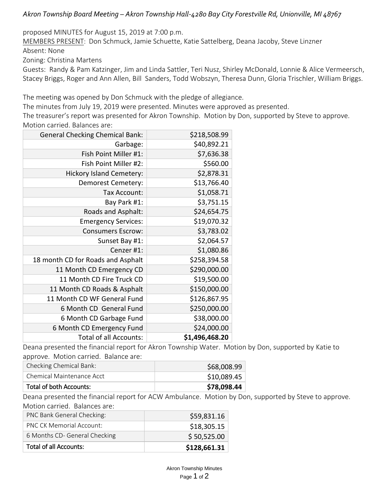### *Akron Township Board Meeting – Akron Township Hall-4280 Bay City Forestville Rd, Unionville, MI 48767*

proposed MINUTES for August 15, 2019 at 7:00 p.m.

MEMBERS PRESENT: Don Schmuck, Jamie Schuette, Katie Sattelberg, Deana Jacoby, Steve Linzner Absent: None

Zoning: Christina Martens

Guests: Randy & Pam Katzinger, Jim and Linda Sattler, Teri Nusz, Shirley McDonald, Lonnie & Alice Vermeersch, Stacey Briggs, Roger and Ann Allen, Bill Sanders, Todd Wobszyn, Theresa Dunn, Gloria Trischler, William Briggs.

The meeting was opened by Don Schmuck with the pledge of allegiance.

The minutes from July 19, 2019 were presented. Minutes were approved as presented.

The treasurer's report was presented for Akron Township. Motion by Don, supported by Steve to approve. Motion carried. Balances are:

| <b>General Checking Chemical Bank:</b> | \$218,508.99   |
|----------------------------------------|----------------|
| Garbage:                               | \$40,892.21    |
| Fish Point Miller #1:                  | \$7,636.38     |
| Fish Point Miller #2:                  | \$560.00       |
| <b>Hickory Island Cemetery:</b>        | \$2,878.31     |
| Demorest Cemetery:                     | \$13,766.40    |
| Tax Account:                           | \$1,058.71     |
| Bay Park #1:                           | \$3,751.15     |
| Roads and Asphalt:                     | \$24,654.75    |
| <b>Emergency Services:</b>             | \$19,070.32    |
| <b>Consumers Escrow:</b>               | \$3,783.02     |
| Sunset Bay #1:                         | \$2,064.57     |
| Cenzer #1:                             | \$1,080.86     |
| 18 month CD for Roads and Asphalt      | \$258,394.58   |
| 11 Month CD Emergency CD               | \$290,000.00   |
| 11 Month CD Fire Truck CD              | \$19,500.00    |
| 11 Month CD Roads & Asphalt            | \$150,000.00   |
| 11 Month CD WF General Fund            | \$126,867.95   |
| 6 Month CD General Fund                | \$250,000.00   |
| 6 Month CD Garbage Fund                | \$38,000.00    |
| 6 Month CD Emergency Fund              | \$24,000.00    |
| <b>Total of all Accounts:</b>          | \$1,496,468.20 |

Deana presented the financial report for Akron Township Water. Motion by Don, supported by Katie to approve. Motion carried. Balance are:

| Checking Chemical Bank:   | \$68,008.99 |
|---------------------------|-------------|
| Chemical Maintenance Acct | \$10,089.45 |
| Total of both Accounts:   | \$78,098.44 |

Deana presented the financial report for ACW Ambulance. Motion by Don, supported by Steve to approve. Motion carried. Balances are:

| PNC Bank General Checking:      | \$59,831.16  |
|---------------------------------|--------------|
| <b>PNC CK Memorial Account:</b> | \$18,305.15  |
| 6 Months CD- General Checking   | \$50,525.00  |
| Total of all Accounts:          | \$128,661.31 |